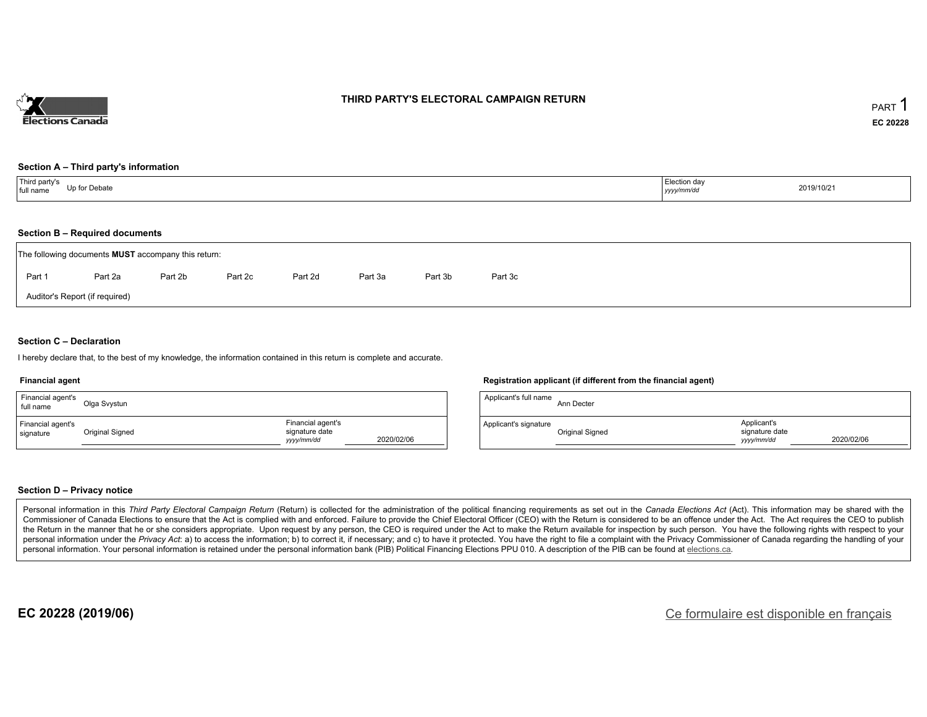

### **THIRD PARTY'S ELECTORAL CAMPAIGN RETURN**

#### **Section A – Third party's information**

### **Section B – Required documents**

|        | The following documents <b>MUST</b> accompany this return: |         |         |         |         |         |         |
|--------|------------------------------------------------------------|---------|---------|---------|---------|---------|---------|
| Part 1 | Part 2a                                                    | Part 2b | Part 2c | Part 2d | Part 3a | Part 3b | Part 3c |
|        | Auditor's Report (if required)                             |         |         |         |         |         |         |

### **Section C – Declaration**

I hereby declare that, to the best of my knowledge, the information contained in this return is complete and accurate.

#### **Financial agent**

| Financial agent's<br>full name | Olga Svystun    |                                                   |            |
|--------------------------------|-----------------|---------------------------------------------------|------------|
| Financial agent's<br>signature | Original Signed | Financial agent's<br>signature date<br>yyyy/mm/dd | 2020/02/06 |

### **Registration applicant (if different from the financial agent)**

| Applicant's full name | Ann Decter      |                                             |            |
|-----------------------|-----------------|---------------------------------------------|------------|
| Applicant's signature | Original Signed | Applicant's<br>signature date<br>vyyy/mm/dd | 2020/02/06 |

### **Section D – Privacy notice**

Personal information in this Third Party Electoral Campaign Return (Return) is collected for the administration of the political financing requirements as set out in the Canada Elections Act (Act). This information may be Commissioner of Canada Elections to ensure that the Act is complied with and enforced. Failure to provide the Chief Electoral Officer (CEO) with the Return is considered to be an offence under the Act. The Act requires the the Return in the manner that he or she considers appropriate. Upon request by any person, the CEO is required under the Act to make the Return available for inspection by such person. You have the following rights with re personal information under the Privacy Act. a) to access the information; b) to correct it, if necessary; and c) to have it protected. You have the right to file a complaint with the Privacy Commissioner of Canada regardin personal information. Your personal information is retained under the personal information bank (PIB) Political Financing Elections PPU 010. A description of the PIB can be found at elections.ca.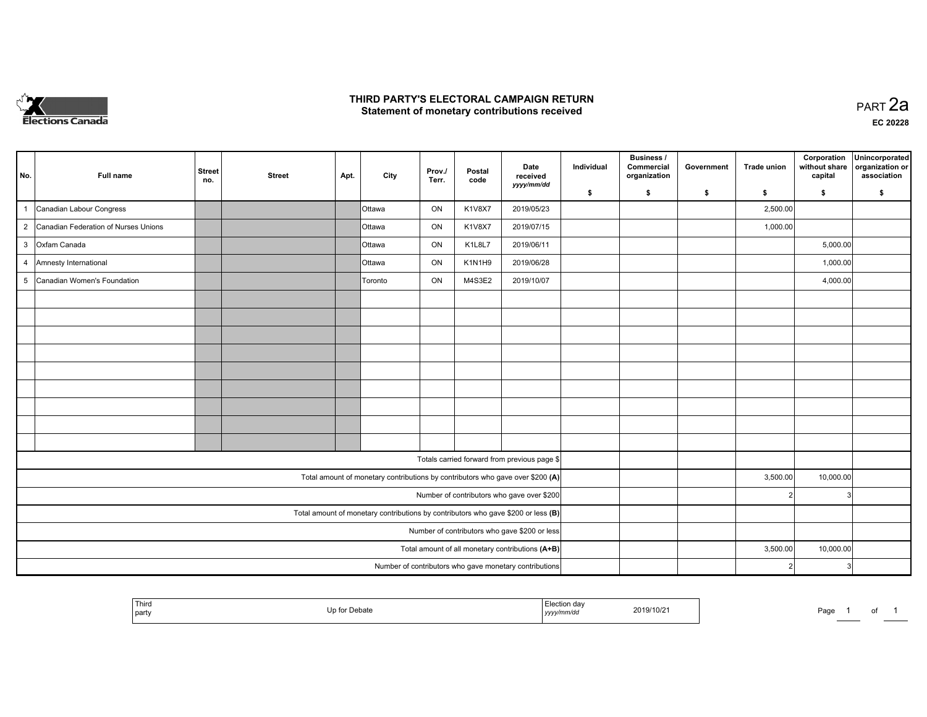

### **THIRD PARTY'S ELECTORAL CAMPAIGN RETURN HIRD PARTY'S ELECTORAL CAMPAIGN RETURN<br>Statement of monetary contributions received PART 2a PART 2a**

| No.            | Full name                              | <b>Street</b><br>no. | <b>Street</b> | Apt. | City          | Prov./<br>Terr. | Postal<br>code | Date<br>received<br>yyyy/mm/dd                                                    | Individual | Business /<br>Commercial<br>organization | Government | <b>Trade union</b> | Corporation<br>without share<br>capital | Unincorporated<br>organization or<br>association |
|----------------|----------------------------------------|----------------------|---------------|------|---------------|-----------------|----------------|-----------------------------------------------------------------------------------|------------|------------------------------------------|------------|--------------------|-----------------------------------------|--------------------------------------------------|
|                |                                        |                      |               |      |               |                 |                |                                                                                   | \$         | s.                                       | \$         | s.                 | \$                                      | S.                                               |
|                | Canadian Labour Congress               |                      |               |      | Ottawa        | ON              | K1V8X7         | 2019/05/23                                                                        |            |                                          |            | 2,500.00           |                                         |                                                  |
|                | 2 Canadian Federation of Nurses Unions |                      |               |      | Ottawa        | ON              | K1V8X7         | 2019/07/15                                                                        |            |                                          |            | 1,000.00           |                                         |                                                  |
|                | 3 Oxfam Canada                         |                      |               |      | Ottawa        | ON              | K1L8L7         | 2019/06/11                                                                        |            |                                          |            |                    | 5,000.00                                |                                                  |
| $\overline{4}$ | Amnesty International                  |                      |               |      | <b>Ottawa</b> | ON              | K1N1H9         | 2019/06/28                                                                        |            |                                          |            |                    | 1,000.00                                |                                                  |
| 5              | Canadian Women's Foundation            |                      |               |      | Toronto       | ON              | M4S3E2         | 2019/10/07                                                                        |            |                                          |            |                    | 4,000.00                                |                                                  |
|                |                                        |                      |               |      |               |                 |                |                                                                                   |            |                                          |            |                    |                                         |                                                  |
|                |                                        |                      |               |      |               |                 |                |                                                                                   |            |                                          |            |                    |                                         |                                                  |
|                |                                        |                      |               |      |               |                 |                |                                                                                   |            |                                          |            |                    |                                         |                                                  |
|                |                                        |                      |               |      |               |                 |                |                                                                                   |            |                                          |            |                    |                                         |                                                  |
|                |                                        |                      |               |      |               |                 |                |                                                                                   |            |                                          |            |                    |                                         |                                                  |
|                |                                        |                      |               |      |               |                 |                |                                                                                   |            |                                          |            |                    |                                         |                                                  |
|                |                                        |                      |               |      |               |                 |                |                                                                                   |            |                                          |            |                    |                                         |                                                  |
|                |                                        |                      |               |      |               |                 |                |                                                                                   |            |                                          |            |                    |                                         |                                                  |
|                |                                        |                      |               |      |               |                 |                |                                                                                   |            |                                          |            |                    |                                         |                                                  |
|                |                                        |                      |               |      |               |                 |                | Totals carried forward from previous page \$                                      |            |                                          |            |                    |                                         |                                                  |
|                |                                        |                      |               |      |               |                 |                | Total amount of monetary contributions by contributors who gave over \$200 (A)    |            |                                          |            | 3,500.00           | 10,000.00                               |                                                  |
|                |                                        |                      |               |      |               |                 |                | Number of contributors who gave over \$200                                        |            |                                          |            |                    | 3                                       |                                                  |
|                |                                        |                      |               |      |               |                 |                | Total amount of monetary contributions by contributors who gave \$200 or less (B) |            |                                          |            |                    |                                         |                                                  |
|                |                                        |                      |               |      |               |                 |                | Number of contributors who gave \$200 or less                                     |            |                                          |            |                    |                                         |                                                  |
|                |                                        |                      |               |      |               |                 |                | Total amount of all monetary contributions (A+B)                                  |            |                                          |            | 3,500.00           | 10,000.00                               |                                                  |
|                |                                        |                      |               |      |               |                 |                | Number of contributors who gave monetary contributions                            |            |                                          |            |                    | 3                                       |                                                  |

|  | ' Third<br>party |  | ,,,,,,,<br>$\sim$ $\sim$<br>,,,, | 19/10/2 | Page |  | ັບເ |  |
|--|------------------|--|----------------------------------|---------|------|--|-----|--|
|--|------------------|--|----------------------------------|---------|------|--|-----|--|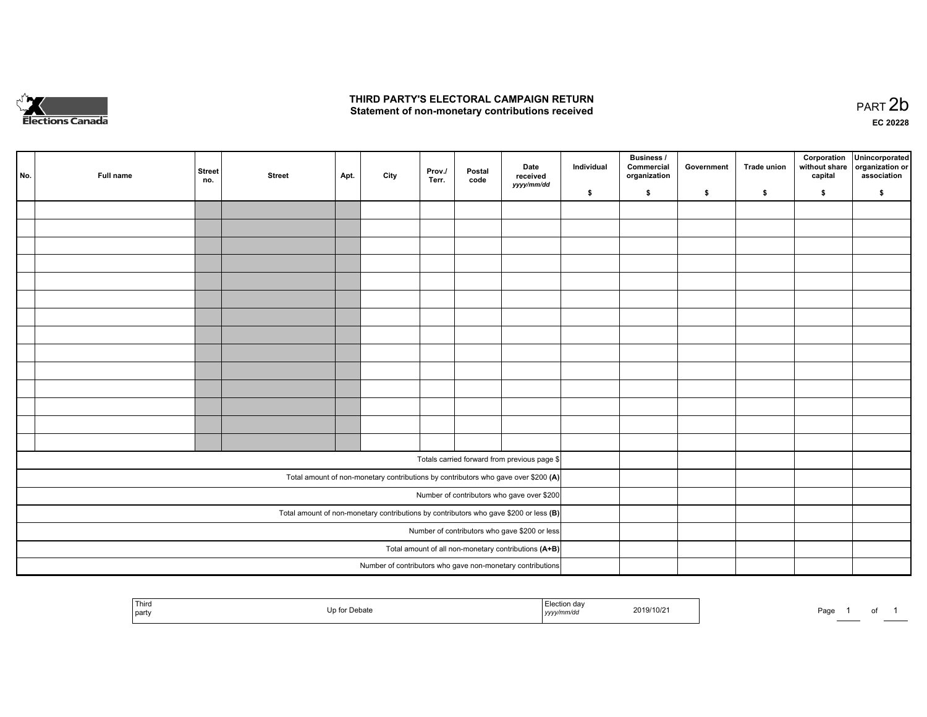

## **THIRD PARTY'S ELECTORAL CAMPAIGN RETURN**  THIRD PARTY'S ELECTORAL CAMPAIGN RETURN<br>Statement of non-monetary contributions received

| No. | Full name | <b>Street</b><br>no. | <b>Street</b> | Apt. | City | Prov.<br>Terr. | Postal<br>code | Date<br>received<br>yyyy/mm/dd                                                          | Individual | <b>Business /</b><br>Commercial<br>organization | Government | Trade union | Corporation<br>without share<br>capital | Unincorporated<br>organization or<br>association |
|-----|-----------|----------------------|---------------|------|------|----------------|----------------|-----------------------------------------------------------------------------------------|------------|-------------------------------------------------|------------|-------------|-----------------------------------------|--------------------------------------------------|
|     |           |                      |               |      |      |                |                |                                                                                         | \$         | \$                                              | \$         | \$          | \$                                      | \$                                               |
|     |           |                      |               |      |      |                |                |                                                                                         |            |                                                 |            |             |                                         |                                                  |
|     |           |                      |               |      |      |                |                |                                                                                         |            |                                                 |            |             |                                         |                                                  |
|     |           |                      |               |      |      |                |                |                                                                                         |            |                                                 |            |             |                                         |                                                  |
|     |           |                      |               |      |      |                |                |                                                                                         |            |                                                 |            |             |                                         |                                                  |
|     |           |                      |               |      |      |                |                |                                                                                         |            |                                                 |            |             |                                         |                                                  |
|     |           |                      |               |      |      |                |                |                                                                                         |            |                                                 |            |             |                                         |                                                  |
|     |           |                      |               |      |      |                |                |                                                                                         |            |                                                 |            |             |                                         |                                                  |
|     |           |                      |               |      |      |                |                |                                                                                         |            |                                                 |            |             |                                         |                                                  |
|     |           |                      |               |      |      |                |                |                                                                                         |            |                                                 |            |             |                                         |                                                  |
|     |           |                      |               |      |      |                |                |                                                                                         |            |                                                 |            |             |                                         |                                                  |
|     |           |                      |               |      |      |                |                |                                                                                         |            |                                                 |            |             |                                         |                                                  |
|     |           |                      |               |      |      |                |                |                                                                                         |            |                                                 |            |             |                                         |                                                  |
|     |           |                      |               |      |      |                |                |                                                                                         |            |                                                 |            |             |                                         |                                                  |
|     |           |                      |               |      |      |                |                |                                                                                         |            |                                                 |            |             |                                         |                                                  |
|     |           |                      |               |      |      |                |                |                                                                                         |            |                                                 |            |             |                                         |                                                  |
|     |           |                      |               |      |      |                |                | Totals carried forward from previous page \$                                            |            |                                                 |            |             |                                         |                                                  |
|     |           |                      |               |      |      |                |                | Total amount of non-monetary contributions by contributors who gave over \$200 (A)      |            |                                                 |            |             |                                         |                                                  |
|     |           |                      |               |      |      |                |                | Number of contributors who gave over \$200                                              |            |                                                 |            |             |                                         |                                                  |
|     |           |                      |               |      |      |                |                | Total amount of non-monetary contributions by contributors who gave \$200 or less $(B)$ |            |                                                 |            |             |                                         |                                                  |
|     |           |                      |               |      |      |                |                | Number of contributors who gave \$200 or less                                           |            |                                                 |            |             |                                         |                                                  |
|     |           |                      |               |      |      |                |                | Total amount of all non-monetary contributions (A+B)                                    |            |                                                 |            |             |                                         |                                                  |
|     |           |                      |               |      |      |                |                | Number of contributors who gave non-monetary contributions                              |            |                                                 |            |             |                                         |                                                  |
|     |           |                      |               |      |      |                |                |                                                                                         |            |                                                 |            |             |                                         |                                                  |

| Third<br>ection day<br>2019/10/21<br>`n for Dobot.<br>Page<br><b>Devale</b><br>  party<br>://mm/da<br>, yyyyı |  |  |  |
|---------------------------------------------------------------------------------------------------------------|--|--|--|
|---------------------------------------------------------------------------------------------------------------|--|--|--|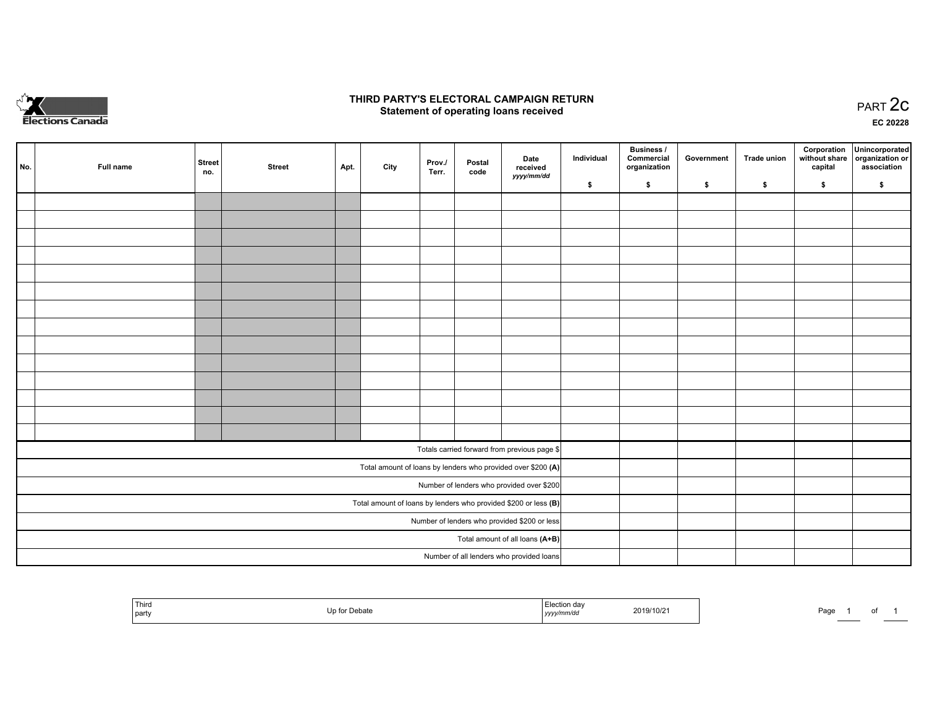

## **THIRD PARTY'S ELECTORAL CAMPAIGN RETURN STATE:** PRACT OF OPPRESS TO PART 2C STATE STATE STATE STATE STATE STATE STATE STATE STATE STATE STATE STATE STA<br>PART 2C Statement of operating loans received

**EC 20228**

| No. | Full name | <b>Street</b><br>no. | <b>Street</b> | Apt. | City | Prov./<br>Terr. | Postal<br>code | Date<br>received<br>yyyy/mm/dd                                  | Individual | <b>Business /</b><br>Commercial<br>organization | Government | <b>Trade union</b> | Corporation<br>capital | Unincorporated<br>without share organization or<br>association |
|-----|-----------|----------------------|---------------|------|------|-----------------|----------------|-----------------------------------------------------------------|------------|-------------------------------------------------|------------|--------------------|------------------------|----------------------------------------------------------------|
|     |           |                      |               |      |      |                 |                |                                                                 | \$         | \$                                              | \$         | \$                 | \$                     | \$                                                             |
|     |           |                      |               |      |      |                 |                |                                                                 |            |                                                 |            |                    |                        |                                                                |
|     |           |                      |               |      |      |                 |                |                                                                 |            |                                                 |            |                    |                        |                                                                |
|     |           |                      |               |      |      |                 |                |                                                                 |            |                                                 |            |                    |                        |                                                                |
|     |           |                      |               |      |      |                 |                |                                                                 |            |                                                 |            |                    |                        |                                                                |
|     |           |                      |               |      |      |                 |                |                                                                 |            |                                                 |            |                    |                        |                                                                |
|     |           |                      |               |      |      |                 |                |                                                                 |            |                                                 |            |                    |                        |                                                                |
|     |           |                      |               |      |      |                 |                |                                                                 |            |                                                 |            |                    |                        |                                                                |
|     |           |                      |               |      |      |                 |                |                                                                 |            |                                                 |            |                    |                        |                                                                |
|     |           |                      |               |      |      |                 |                |                                                                 |            |                                                 |            |                    |                        |                                                                |
|     |           |                      |               |      |      |                 |                |                                                                 |            |                                                 |            |                    |                        |                                                                |
|     |           |                      |               |      |      |                 |                |                                                                 |            |                                                 |            |                    |                        |                                                                |
|     |           |                      |               |      |      |                 |                |                                                                 |            |                                                 |            |                    |                        |                                                                |
|     |           |                      |               |      |      |                 |                |                                                                 |            |                                                 |            |                    |                        |                                                                |
|     |           |                      |               |      |      |                 |                |                                                                 |            |                                                 |            |                    |                        |                                                                |
|     |           |                      |               |      |      |                 |                | Totals carried forward from previous page \$                    |            |                                                 |            |                    |                        |                                                                |
|     |           |                      |               |      |      |                 |                | Total amount of loans by lenders who provided over \$200 (A)    |            |                                                 |            |                    |                        |                                                                |
|     |           |                      |               |      |      |                 |                | Number of lenders who provided over \$200                       |            |                                                 |            |                    |                        |                                                                |
|     |           |                      |               |      |      |                 |                | Total amount of loans by lenders who provided \$200 or less (B) |            |                                                 |            |                    |                        |                                                                |
|     |           |                      |               |      |      |                 |                | Number of lenders who provided \$200 or less                    |            |                                                 |            |                    |                        |                                                                |
|     |           |                      |               |      |      |                 |                | Total amount of all loans (A+B)                                 |            |                                                 |            |                    |                        |                                                                |
|     |           |                      |               |      |      |                 |                | Number of all lenders who provided loans                        |            |                                                 |            |                    |                        |                                                                |

|  | Third<br>  party | nengre | dа<br>.<br>,,,, | 2019/10/21 | Page. |  | . |  |
|--|------------------|--------|-----------------|------------|-------|--|---|--|
|--|------------------|--------|-----------------|------------|-------|--|---|--|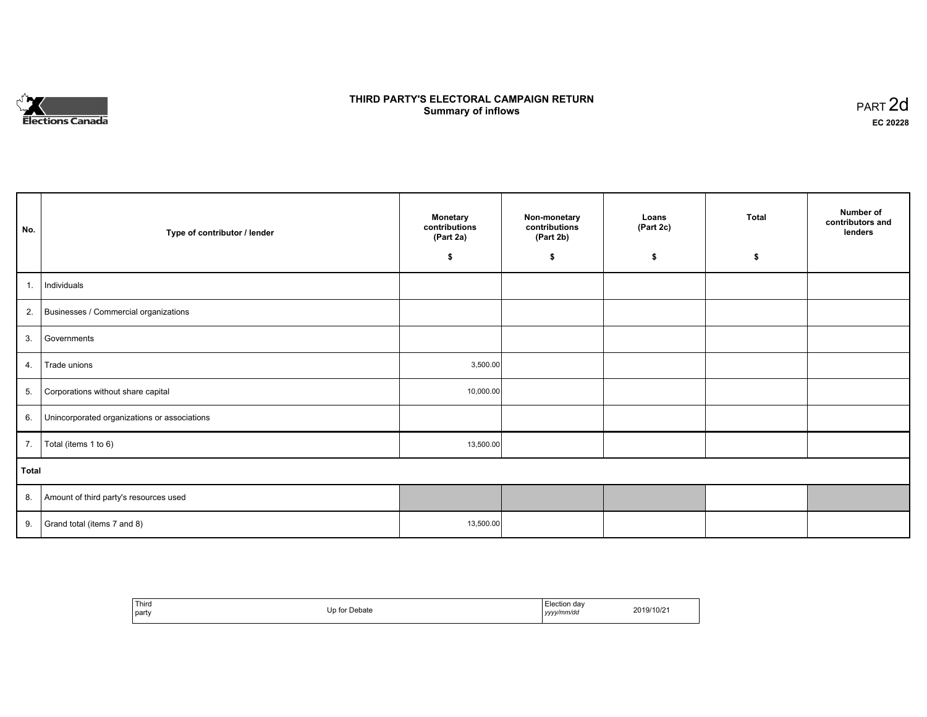

## **THIRD PARTY'S ELECTORAL CAMPAIGN RETURN S** ELECTORAL CAMPAIGN RETURN<br>Summary of inflows PART 2d

| No.   | Type of contributor / lender                    | <b>Monetary</b><br>contributions<br>(Part 2a) | Non-monetary<br>contributions<br>(Part 2b) | Loans<br>(Part 2c) | <b>Total</b> | Number of<br>contributors and<br>lenders |
|-------|-------------------------------------------------|-----------------------------------------------|--------------------------------------------|--------------------|--------------|------------------------------------------|
|       |                                                 | \$                                            | \$                                         | \$                 | \$           |                                          |
| 1.    | Individuals                                     |                                               |                                            |                    |              |                                          |
|       | 2. Businesses / Commercial organizations        |                                               |                                            |                    |              |                                          |
| 3.    | Governments                                     |                                               |                                            |                    |              |                                          |
| 4.    | Trade unions                                    | 3,500.00                                      |                                            |                    |              |                                          |
| 5.    | Corporations without share capital              | 10,000.00                                     |                                            |                    |              |                                          |
|       | 6. Unincorporated organizations or associations |                                               |                                            |                    |              |                                          |
|       | 7.   Total (items 1 to 6)                       | 13,500.00                                     |                                            |                    |              |                                          |
| Total |                                                 |                                               |                                            |                    |              |                                          |
|       | 8. Amount of third party's resources used       |                                               |                                            |                    |              |                                          |
| 9.    | Grand total (items 7 and 8)                     | 13,500.00                                     |                                            |                    |              |                                          |

| Third<br>party | Un for<br>for Debate | Election dav<br>__<br>yyyy/mm/dd | 2019/10/2 |
|----------------|----------------------|----------------------------------|-----------|
|----------------|----------------------|----------------------------------|-----------|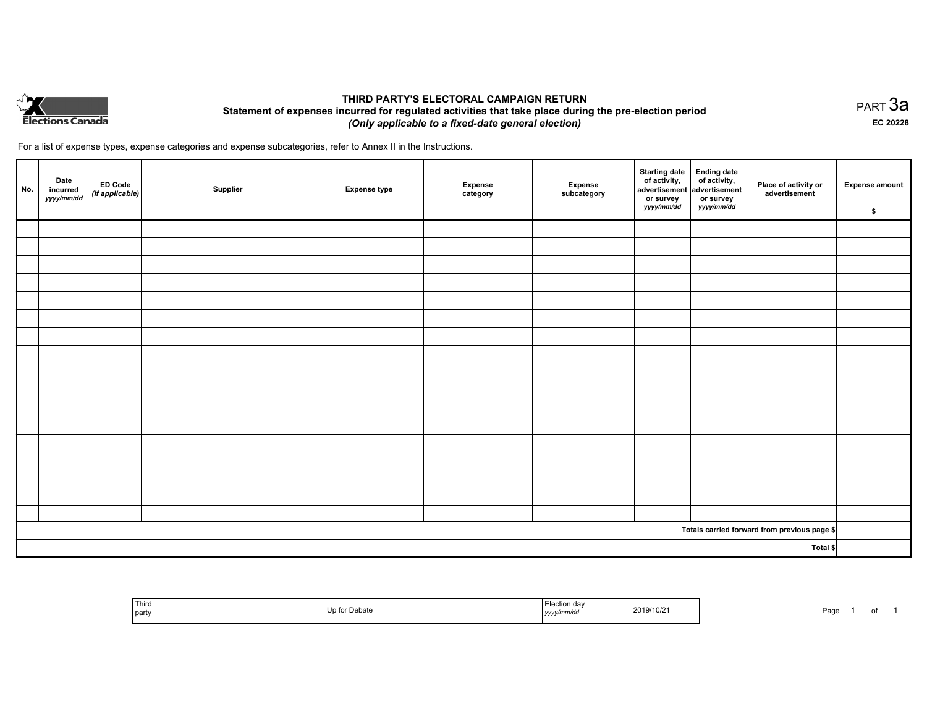

## **THIRD PARTY'S ELECTORAL CAMPAIGN RETURN Statement of expenses incurred for regulated activities that take place during the pre-election period**  *(Only applicable to a fixed-date general election)*

For a list of expense types, expense categories and expense subcategories, refer to Annex II in the Instructions.

| No.      | Date<br>incurred<br>yyyy/mm/dd | ED Code<br>(if applicable) | Supplier | <b>Expense type</b> | <b>Expense</b><br>category | Expense<br>subcategory | Starting date<br>of activity,<br>advertisement advertisement<br>or survey<br>yyyy/mm/dd | Ending date<br>of activity,<br>or survey<br>yyyy/mm/dd | Place of activity or<br>advertisement        | <b>Expense amount</b><br>\$ |
|----------|--------------------------------|----------------------------|----------|---------------------|----------------------------|------------------------|-----------------------------------------------------------------------------------------|--------------------------------------------------------|----------------------------------------------|-----------------------------|
|          |                                |                            |          |                     |                            |                        |                                                                                         |                                                        |                                              |                             |
|          |                                |                            |          |                     |                            |                        |                                                                                         |                                                        |                                              |                             |
|          |                                |                            |          |                     |                            |                        |                                                                                         |                                                        |                                              |                             |
|          |                                |                            |          |                     |                            |                        |                                                                                         |                                                        |                                              |                             |
|          |                                |                            |          |                     |                            |                        |                                                                                         |                                                        |                                              |                             |
|          |                                |                            |          |                     |                            |                        |                                                                                         |                                                        |                                              |                             |
|          |                                |                            |          |                     |                            |                        |                                                                                         |                                                        |                                              |                             |
|          |                                |                            |          |                     |                            |                        |                                                                                         |                                                        |                                              |                             |
|          |                                |                            |          |                     |                            |                        |                                                                                         |                                                        |                                              |                             |
|          |                                |                            |          |                     |                            |                        |                                                                                         |                                                        |                                              |                             |
|          |                                |                            |          |                     |                            |                        |                                                                                         |                                                        |                                              |                             |
|          |                                |                            |          |                     |                            |                        |                                                                                         |                                                        |                                              |                             |
|          |                                |                            |          |                     |                            |                        |                                                                                         |                                                        |                                              |                             |
|          |                                |                            |          |                     |                            |                        |                                                                                         |                                                        |                                              |                             |
|          |                                |                            |          |                     |                            |                        |                                                                                         |                                                        |                                              |                             |
|          |                                |                            |          |                     |                            |                        |                                                                                         |                                                        |                                              |                             |
|          |                                |                            |          |                     |                            |                        |                                                                                         |                                                        |                                              |                             |
|          |                                |                            |          |                     |                            |                        |                                                                                         |                                                        | Totals carried forward from previous page \$ |                             |
| Total \$ |                                |                            |          |                     |                            |                        |                                                                                         |                                                        |                                              |                             |

| Third<br>  party | Dehor.<br>UEDAN<br>. | n davس.<br>2019/10/21<br>.<br>nmrao<br>,,,,,,, | Door<br>-ay |
|------------------|----------------------|------------------------------------------------|-------------|
|------------------|----------------------|------------------------------------------------|-------------|

PART 3a **EC 20228**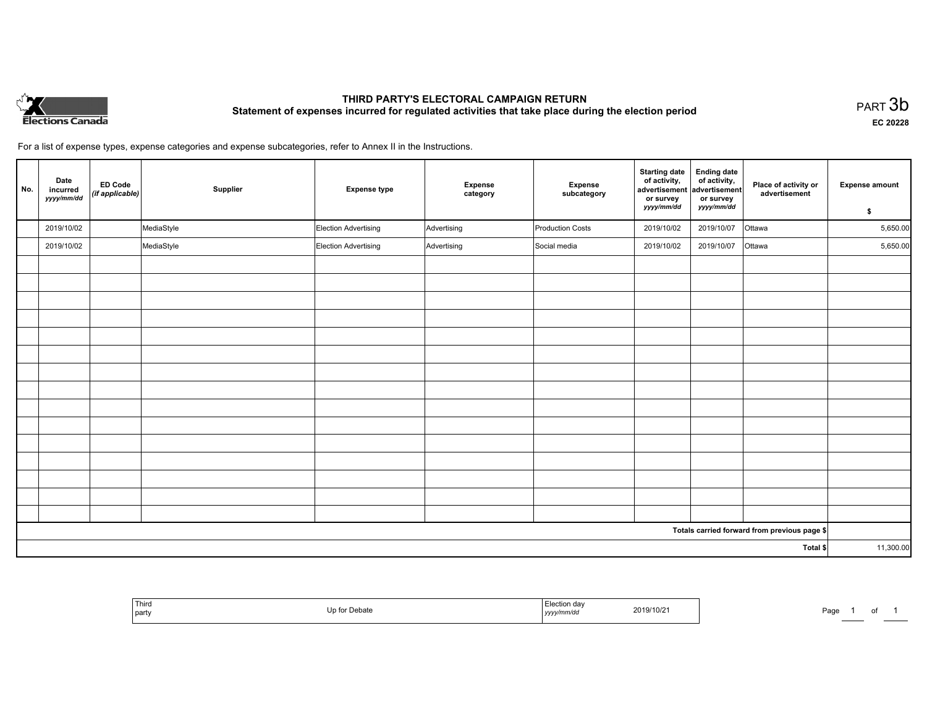

# **THIRD PARTY'S ELECTORAL CAMPAIGN RETURN Statement of expenses incurred for regulated activities that take place during the election period**<br>PART  $3\mathsf{b}$

**EC 20228**

1 of 1

For a list of expense types, expense categories and expense subcategories, refer to Annex II in the Instructions.

| No.      | Date<br>incurred<br>yyyy/mm/dd | <b>ED Code</b><br>(if applicable) | Supplier   | <b>Expense type</b>         | Expense<br>category | Expense<br>subcategory  | <b>Starting date</b><br>of activity,<br>advertisement<br>or survey<br>yyyy/mm/dd | <b>Ending date</b><br>of activity,<br>advertisement<br>or survey | Place of activity or<br>advertisement        | <b>Expense amount</b> |
|----------|--------------------------------|-----------------------------------|------------|-----------------------------|---------------------|-------------------------|----------------------------------------------------------------------------------|------------------------------------------------------------------|----------------------------------------------|-----------------------|
|          |                                |                                   |            |                             |                     |                         |                                                                                  | yyyy/mm/dd                                                       |                                              | \$                    |
|          | 2019/10/02                     |                                   | MediaStyle | Election Advertising        | Advertising         | <b>Production Costs</b> | 2019/10/02                                                                       | 2019/10/07                                                       | Ottawa                                       | 5,650.00              |
|          | 2019/10/02                     |                                   | MediaStyle | <b>Election Advertising</b> | Advertising         | Social media            | 2019/10/02                                                                       | 2019/10/07                                                       | Ottawa                                       | 5,650.00              |
|          |                                |                                   |            |                             |                     |                         |                                                                                  |                                                                  |                                              |                       |
|          |                                |                                   |            |                             |                     |                         |                                                                                  |                                                                  |                                              |                       |
|          |                                |                                   |            |                             |                     |                         |                                                                                  |                                                                  |                                              |                       |
|          |                                |                                   |            |                             |                     |                         |                                                                                  |                                                                  |                                              |                       |
|          |                                |                                   |            |                             |                     |                         |                                                                                  |                                                                  |                                              |                       |
|          |                                |                                   |            |                             |                     |                         |                                                                                  |                                                                  |                                              |                       |
|          |                                |                                   |            |                             |                     |                         |                                                                                  |                                                                  |                                              |                       |
|          |                                |                                   |            |                             |                     |                         |                                                                                  |                                                                  |                                              |                       |
|          |                                |                                   |            |                             |                     |                         |                                                                                  |                                                                  |                                              |                       |
|          |                                |                                   |            |                             |                     |                         |                                                                                  |                                                                  |                                              |                       |
|          |                                |                                   |            |                             |                     |                         |                                                                                  |                                                                  |                                              |                       |
|          |                                |                                   |            |                             |                     |                         |                                                                                  |                                                                  |                                              |                       |
|          |                                |                                   |            |                             |                     |                         |                                                                                  |                                                                  |                                              |                       |
|          |                                |                                   |            |                             |                     |                         |                                                                                  |                                                                  |                                              |                       |
|          |                                |                                   |            |                             |                     |                         |                                                                                  |                                                                  |                                              |                       |
|          |                                |                                   |            |                             |                     |                         |                                                                                  |                                                                  | Totals carried forward from previous page \$ |                       |
| Total \$ |                                |                                   |            |                             |                     | 11,300.00               |                                                                                  |                                                                  |                                              |                       |

| Third<br>Up for Debate<br>  party | Election day<br>2019/10/21<br>yyyy/mm/dd | Page |
|-----------------------------------|------------------------------------------|------|
|-----------------------------------|------------------------------------------|------|